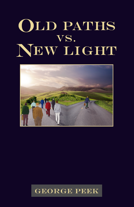

# **GEORGE PEEK**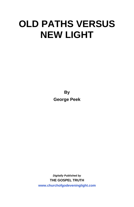# **OLD PATHS VERSUS NEW LIGHT**

**By George Peek**

*Digitally Published by*  **THE GOSPEL TRUTH <www.churchofgodeveninglight.com>**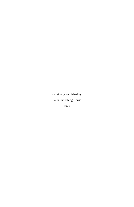Originally Published by Faith Publishing House 1970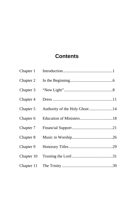# **Contents**

| Chapter 1  |                                |
|------------|--------------------------------|
| Chapter 2  |                                |
| Chapter 3  |                                |
| Chapter 4  |                                |
| Chapter 5  | Authority of the Holy Ghost 14 |
| Chapter 6  |                                |
| Chapter 7  |                                |
| Chapter 8  |                                |
| Chapter 9  |                                |
| Chapter 10 |                                |
| Chapter 11 |                                |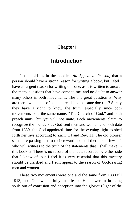# <span id="page-6-0"></span>**Chapter I**

# **Introduction**

I still hold, as in the booklet, *An Appeal to Reason*, that a person should have a strong reason for writing a book; but I feel I have an urgent reason for writing this one, as it is written to answer the many questions that have come to me, and no doubt to answer many others in both movements. The one great question is, Why are there two bodies of people preaching the same doctrine? Surely they have a right to know the truth, especially since both movements hold the same name, "The Church of God," and both preach unity, but yet will not unite. Both movements claim to recognize the founders as God-sent men and women and both date from 1880, the God-appointed time for the evening light to shed forth her rays according to Zach. 14 and Rev. 11. The old pioneer saints are passing fast to their reward and still there are a few left who will witness to the truth of the statements that I shall make in this booklet. There is no record of the facts recorded by either side that I know of, but I feel it is very essential that this mystery should be clarified and I still appeal to the reason of God-fearing men and women.

These two movements were one and the same from 1880 till 1913, and God wonderfully manifested His power in bringing souls out of confusion and deception into the glorious light of the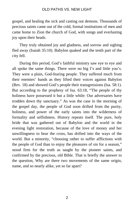gospel, and healing the sick and casting out demons. Thousands of precious saints came out of the cold, formal institutions of men and came home to Zion the church of God, with songs and everlasting joy upon their heads.

They truly obtained joy and gladness, and sorrow and sighing fled away (Isaiah 35:10). Babylon quaked and the tenth part of the city fell.

During this period, God's faithful ministry saw eye to eye and all spoke the same things. There were no big I's and little you's. They were a plain, God-fearing people. They suffered much from their enemies' hands as they lifted their voices against Babylon (Rev. 18) and showed God's people their transgressions (Isa. 58:1). But according to the prophesy of Isa. 63:18, "The people of thy holiness have possessed it but a little while: Our adversaries have trodden down thy sanctuary." As was the case in the morning of the gospel day, the people of God soon drifted from the purity, holiness, and power of the early saints into the wilderness of formality and selfishness. History repeats itself. The pure, holy bride that was gathered out of Babylon and the world in the evening light restoration, because of the love of money and her unwillingness to bear the cross, has drifted into the ways of the world. But a minority, "choosing rather to suffer afflictions with the people of God than to enjoy the pleasures of sin for a season," stood firm for the truth as taught by the pioneer saints, and confirmed by the precious, old Bible. That is briefly the answer to the question, Why are there two movements of the same origin, name, and so nearly alike, yet so far apart?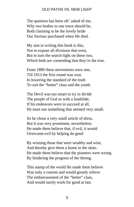The question has been oft' asked of me, Why two bodies in one town should be, Both claiming to be the lovely bride Our Saviour purchased when He died.

My aim in writing this book is this, Not to expose all divisions that exist, But to turn the search-light on these two, Which both are contending that they're the true.

From 1880 these movements were one, Till 1913 the first round was won In lowering the standard of the truth To suit the "better" class and the youth.

The Devil was too smart to try to divide The people of God as with a landslide; If his endeavors were to succeed at all, He must use something that seemed very small.

So he chose a very small article of dress, But it was very prominent, nevertheless. He made them believe that, if evil, it would Overcome evil by helping do good

By winning those that were wealthy and wise, And thereby give them a home in the skies. He made them believe that the pioneers were wrong By hindering the progress of the throng.

This stamp of the world He made them believe Was only a custom and would greatly relieve The embarrassment of the "better" class, And would surely work for good at last.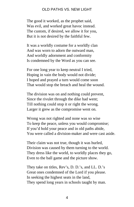The good it worked, as the prophet said, Was evil, and worked great havoc instead. The custom, if desired, we allow it for you, But it is not desired by the faithful few.

It was a worldly costume for a worldly clan And was worn to adorn the outward man, And worldly adornment and conformity Is condemned by the Word as you can see.

For one long year to keep neutral I tried, Hoping in vain the body would not divide; I hoped and prayed a turn would come soon That would stop the breach and heal the wound.

The division was on and nothing could prevent, Since the rivulet through the dike had went; Till nothing could stop it or right the wrong. Larger it grew as the compromise went on.

Wrong was not righted and none was so wise To keep the peace, unless you would compromise; If you'd hold your peace and in old paths abide, You were called a division-maker and were cast aside.

Their claim was not true, though it was hurled, Division was caused by them turning to the world. They dress like the world, to worldly places they go, Even to the ball game and the picture show.

They take on titles, Rev's, D. D.'s, and LL. D.'s Great ones condemned of the Lord if you please. In seeking the highest seats in the land, They spend long years in schools taught by man.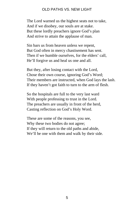The Lord warned us the highest seats not to take, And if we disobey, our souls are at stake. But these lordly preachers ignore God's plan And strive to attain the applause of man.

Sin bars us from heaven unless we repent, But God often in mercy chastisement has sent. Then if we humble ourselves, for the elders' call, He'll forgive us and heal us one and all.

But they, after losing contact with the Lord, Chose their own course, ignoring God's Word; Their members are instructed, when God lays the lash. If they haven't got faith to turn to the arm of flesh.

So the hospitals are full to the very last ward With people professing to trust in the Lord. The preachers are usually in front of the herd, Casting reflection on God's Holy Word.

These are some of the reasons, you see, Why these two bodies do not agree; If they will return to the old paths and abide, We'll be one with them and walk by their side.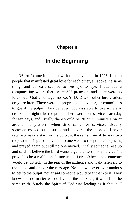# <span id="page-11-0"></span>**Chapter II**

# **In the Beginning**

When I came in contact with this movement in 1903, I met a people that manifested great love for each other, all spoke the same thing, and at least seemed to see eye to eye. I attended a campmeeting where there were 325 preachers and there were no lords over God's heritage, no Rev's, D. D's, or other lordly titles, only brethren. There were no programs in advance, or committees to guard the pulpit. They believed God was able to over-rule any crook that might take the pulpit. There were four services each day for ten days, and usually there would be 30 or 35 ministers on or around the platform when time came for services. Usually someone moved out leisurely and delivered the message. I never saw two make a start for the pulpit at the same time. A time or two they would sing and pray and no one went to the pulpit. They sang and prayed again but still no one moved. Finally someone rose up and said, "I believe the Lord wants a general testimony service." It proved to be a real blessed time in the Lord. Other times someone would get up right in the rear of the audience and walk leisurely to the pulpit and deliver the message. No one was ever over anxious to get to the pulpit, not afraid someone would beat them to it. They knew that no matter who delivered the message, it would be the same truth. Surely the Spirit of God was leading as it should. I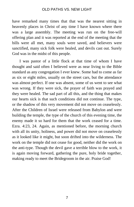have remarked many times that that was the nearest sitting in heavenly places in Christ of any time I have known where there was a large assembly. The meeting was run on the free-will offering plan and it was reported at the end of the meeting that the bills were all met, many souls were saved, and believers were sanctified, many sick folk were healed, and devils cast out. Surely God was in the midst of this people.

I was pastor of a little flock at that time of whom I have thought and said often I believed were as near living to the Bible standard as any congregation I ever knew. Some had to come as far as six or eight miles, usually on the street cars, but the attendance was almost perfect. If one was absent, some of us went to see what was wrong. If they were sick, the prayer of faith was prayed and they were healed. The sad part of all this, and the thing that makes our hearts sick is that such conditions did not continue. The type, or the shadow of this very movement did not move on ceaselessly. After the Children of Israel were released from Babylon and were building the temple, the type of the church of this evening time, the enemy made it so hard for them that the work ceased for a time. Ezra. 4:23, 24. Again, as mentioned before, the morning church with all its unity, holiness, and power did not move on ceaselessly as it looked like it might, but soon drifted into the wilderness. The work on the temple did not cease for good, neither did the work on the anti-type. Though the devil gave a terrible blow to the work, it is again moving forward, gathering the pure, holy bride together, making ready to meet the Bridegroom in the air. Praise God!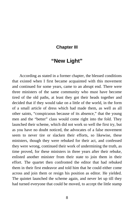### <span id="page-13-0"></span>**Chapter III**

# **"New Light"**

According as stated in a former chapter, the blessed conditions that existed when I first became acquainted with this movement and continued for some years, came to an abrupt end. There were three ministers of the same community who must have become tired of the old paths, at least they got their heads together and decided that if they would take on a little of the world, in the form of a small article of dress which had made them, as well as all other saints, "conspicuous because of its absence," that the young men and the "better" class would come right into the fold. They launched their scheme, which did not work so well the first try, but as you have no doubt noticed, the advocates of a false movement seem to never tire or slacken their efforts, so likewise, these ministers, though they were rebuked for their act, and confessed they were wrong, continued their work of undermining the truth, as time proved, for these ministers in three years after their rebuke, enlisted another minister from their state to join them in their effort. The quartet then confronted the editor that had rebuked them in their first endeavor and told him that he could either come across and join them or resign his position as editor. He yielded. The quintet launched the scheme again, and never let up till they had turned everyone that could be moved, to accept the little stamp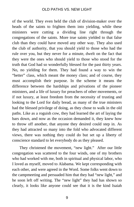of the world. They even held the club of division-maker over the heads of the saints to frighten them into yielding, while these ministers were cutting a dividing line right through the congregations of the saints. More true saints yielded to that false club than they could have moved any other way. They also used the club of authority, that you should yield to those who had the rule over you, but they never for a minute, dwelt on the fact that they were the ones who should yield to those who stood for the truth that God had so wonderfully blessed for the past thirty years. No, no yielding for them. They had found a way to win the "better" class, which meant the money class; and of course, they must accomplish their purpose. In the scheme it means the difference between the hardships and privations of the pioneer ministers, and a life of luxury for preachers of other movements, or if not luxury, at least freedom from the necessity of trusting and looking to the Lord for daily bread, as many of the true ministers had the blessed privilege of doing, as they chose to walk in the old paths. Like as a roguish cow, they had learned the art of laying the bars down, and now as the occasion demanded it, they knew how to throw off another, that anyone they desired could step in. As they had attracted so many into the fold who advocated different views, there was nothing they could do but set up a liberty of conscience standard to let everybody do as they pleased.

They christened the movement, "new light." After our little congregation was scattered to the four winds, one of my brothers who had worked with me, both in spiritual and physical labor, who I loved as myself, moved to Alabama. We kept corresponding with each other, and were agreed in the Word. Some folks went down to the campmeeting and persuaded him that they had "new light," and he soon left off writing. The "new light" they had has shown so clearly, it looks like anyone could see that it is the kind Isaiah

9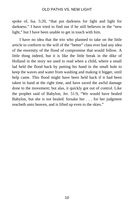spoke of, Isa. 5:20, "that put darkness for light and light for darkness." I have tried to find out if he still believes in the "new light," but I have been unable to get in touch with him.

I have no idea that the trio who planned to take on the little article to conform to the will of the "better" class ever had any idea of the enormity of the flood of compromise that would follow. A little thing indeed, but it is like the little break in the dike of Holland in the story we used to read when a child, where a small lad held the flood back by putting his hand in the small hole to keep the waves and water from washing and making it bigger, until help came. This flood might have been held back if it had been taken in hand at the right time, and have saved the awful damage done to the movement; but alas, it quickly got out of control. Like the prophet said of Babylon, Jer. 51:9, "We would have healed Babylon, but she is not healed: forsake her . . . for her judgment reacheth unto heaven, and is lifted up even to the skies."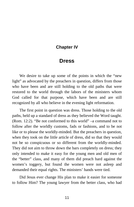#### <span id="page-16-0"></span>**Chapter IV**

# **Dress**

We desire to take up some of the points in which the "new light" as advocated by the preachers in question, differs from those who have been and are still holding to the old paths that were restored to the world through the labors of the ministers whom God called for that purpose, which have been and are still recognized by all who believe in the evening light reformation.

The first point in question was dress. Those holding to the old paths, held up a standard of dress as they believed the Word taught. (Rom. 12:2). "Be not conformed to this world" –a command not to follow after the worldly customs, fads or fashions, and to be not like or to please the worldly-minded. But the preachers in question, when they took on the little article of dress, did so that they would not be so conspicuous or so different from the worldly-minded. They did not aim to throw down the bars completely on dress; they only intended to make it easy for the young men and old men of the "better" class, and many of them did preach hard against the women's toggery, but found the women were not asleep and demanded their equal rights. The ministers' hands were tied.

Did Jesus ever change His plan to make it easier for someone to follow Him? The young lawyer from the better class, who had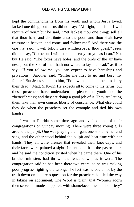kept the commandments from his youth and whom Jesus loved, lacked one thing; but Jesus did not say; "All right, that is all I will require of you," but he said, "Yet lackest thou one thing: sell all that thou hast, and distribute unto the poor, and thou shalt have treasure in heaven: and come, and follow me." And there was the one that said, "I will follow thee whithersoever thou goest." Jesus did not say, "Come on, I will make it as easy for you as I can." No, but He said, "The foxes have holes; and the birds of the air have nests; but the Son of man hath not where to lay his head;" as if to say, "If you follow me, you can expect to have hardships and privations." Another said, "Suffer me first to go and bury my father." But Jesus said unto him, "Follow me; and let the dead bury their dead." Matt. 5:18-22. He expects all to come to his terms, but these preachers have undertaken to please the youth and the "better"? class; and they are doing a good job of it. They are letting them take their own course, liberty of conscience. What else could they do when the preachers set the example and tied his own hands?

I was in Florida some time ago and visited one of their congregations on Sunday morning. There were three young girls around the pulpit. One was playing the organ, one stood by her and sang, and the other stood behind the pulpit and beat time with her hands. They all wore dresses that revealed their knee-caps, and their faces were painted a sight. I mentioned it to the pastor later, and he said the condition existed when he came there. One of his brother ministers had thrown the fence down, as it were. The congregation said he had been there two years, so he was making poor progress righting the wrong. The fact was he could not lay the truth down on the dress question for the preachers had led the way in taking on adornment. The Word is plain, that "women adorn themselves in modest apparel, with shamefacedness, and sobriety"

12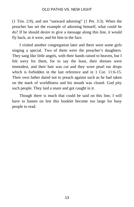(1 Tim. 2:9), and not "outward adorning" (1 Pet. 3:3). When the preacher has set the example of adorning himself, what could he do? If he should desire to give a message along this line, it would fly back, as it were, and hit him in the face.

I visited another congregation later and there were some girls singing a special. Two of them were the preacher's daughters. They sang like little angels, with their hands raised to heaven, but I felt sorry for them, for to say the least, their dresses were immodest, and their hair was cut and they wore pearl ear drops which is forbidden in the last reference and in 1 Cor. 11:6-15. Their own father dared not to preach against such as he had taken on the mark of worldliness and his mouth was closed. God pity such people. They laid a snare and got caught in it.

Though there is much that could be said on this line, I will have to hasten on lest this booklet become too large for busy people to read.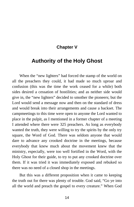# **Chapter V**

# <span id="page-19-0"></span>**Authority of the Holy Ghost**

When the "new lighters" had forced the stamp of the world on all the preachers they could, it had made so much uproar and confusion (this was the time the work ceased for a while) both sides desired a cessation of hostilities; and as neither side would give in, the "new lighters" decided to smother the pioneers; but the Lord would send a message now and then on the standard of dress and would break into their arrangements and cause a backset. The campmeetings to this time were open to anyone the Lord wanted to place in the pulpit, as I mentioned in a former chapter of a meeting I attended where there were 325 preachers. As long as everybody wanted the truth, they were willing to try the spirits by the only try square, the Word of God. There was seldom anyone that would dare to advance any crooked doctrine in the meetings, because everybody that knew much about the movement knew that the ministry, especially, were too well fortified in the Word, with the Holy Ghost for their guide, to try to put any crooked doctrine over them. If it was tried it was immediately exposed and rebuked so there was no need of a closed shop in the meetings.

But this was a different proposition when it came to keeping the truth out for there was plenty of trouble. God said, "Go ye into all the world and preach the gospel to every creature." When God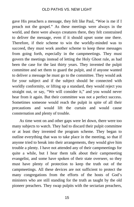gave His preachers a message, they felt like Paul, "Woe is me if I preach not the gospel." As these meetings were always in the world, and there were always creatures there, they felt constrained to deliver the message, even if it should upset some one there. Therefore, if their scheme to win the worldly-minded was to succeed, they must work another scheme to keep these messages from going forth, especially in the campmeetings. They must govern the meetings instead of letting the Holy Ghost rule, as had been the case for the last thirty years. They invented the pulpit committee and set them to guard the pulpit, and if anyone wanted to deliver a message he must go to the committee. They would ask for your subject and if the subject should be connected with worldly conformity, or lifting up a standard, they would reject you straight out, or say, "We will consider it," and you would never hear from it again. But their committee was not a perfect success. Sometimes someone would reach the pulpit in spite of all their precautions and would lift the curtain and would cause consternation and plenty of trouble.

As time went on and other gaps were let down, there were too many subjects to watch. They had to discard their pulpit committee or at least they invented the program scheme. They began to outline everything that was to take place in the meeting, so that if anyone tried to break into their arrangements, they would give him trouble a plenty. I have not attended any of their campmeetings for quite a while, but I hear them talk about their campmeeting evangelist, and some have spoken of their state overseer, so they must have plenty of protection to keep the truth out of the campmeetings. All these devices are not sufficient to protect the many congregations from the efforts of the hosts of God's ministers who are still standing for the truth as taught by the old pioneer preachers. They swap pulpits with the sectarian preachers,

15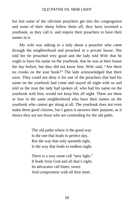but lest some of the old-time preachers get into the congregation and some of their sheep follow them off, they have invented a yearbook, as they call it, and require their preachers to have their names in it.

My wife was talking to a lady about a preacher who came through the neighborhood and preached in a private house. She told her he preached very good and the lady told Wife that he ought to have his name on the yearbook, that he was at their house the day before, but they did not know him. Wife said, "Are there no crooks on the year book?" The lady acknowledged that there were. They could not deny it for one of the preachers that had his name on the yearbook had come and stayed all night with us and told us the man the lady had spoken of, who had his name on the yearbook with him, would not keep him all night. There are three or four in the same neighborhood who have their names on the yearbook who cannot get along at all. The yearbook does not even make them good citizens, but I guess it answers their purpose, as it shows they are not those who are contending for the old paths.

> The old paths where is the good way Is the one that leads to perfect day, But the way that only seemeth right, Is the way that leads to endless night.

> There is a way some call "new light," It leads from God and all that's right; Its advocates call bitter, sweet And compromise with all they meet.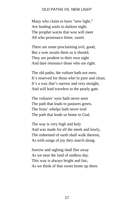Many who claim to have "new light," Are leading souls to darkest night. The prophet warns that woe will meet All who pronounce bitter, sweet.

There are some proclaiming evil, good, But a woe awaits them as it should; They are prudent in their own sight And dare renounce those who are right.

The old paths, the vulture hath not seen, It's reserved for those who're pure and clean; It's a way that's narrow and very straight, And will lead travelers to the pearly gate.

The vultures' eyes hath never seen The path that leads to pastures green, The lions' whelps hath never trod The path that leads us home to God.

The way is very high and holy And was made for all the meek and lowly, The redeemed of earth shall walk thereon, As with songs of joy they march along.

Sorrow and sighing shall flee away As we near the land of endless day. This way is always bright and fair, As we think of that sweet home up there.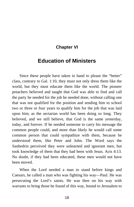# **Chapter VI**

# <span id="page-23-0"></span>**Education of Ministers**

Since these people have taken in hand to please the "better" class, contrary to Gal. 1:10, they must not only dress them like the world, but they must educate them like the world. The pioneer preachers believed and taught that God was able to find and call the party he needed for the job he needed done, without calling one that was not qualified for the position and sending him to school two or three or four years to qualify him for the job that was laid upon him; as the sectarian world has been doing so long. They believed, and we still believe, that God is the same yesterday, today, and forever. If he needed someone to carry his message the common people could, and more than likely he would call some common person that could sympathize with them, because he understood them, like Peter and John. The Word says the Sanhedrin perceived they were unlearned and ignorant men, but took knowledge of them that they had been with Jesus. Acts 4:13. No doubt, if they had been educated, these men would not have been moved.

When the Lord needed a man to stand before kings and Caesars, he called a man who was fighting his way—Paul. He was persecuting the Lord's saints. He was then on his way with warrants to bring those he found of this way, bound to Jerusalem to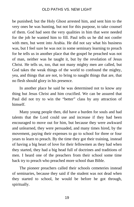be punished; but the Holy Ghost arrested him, and sent him to the very ones he was hunting, but not for this purpose, to take counsel of them. God had seen the very qualities in him that were needed for the job he wanted him to fill. Paul tells us he did not confer with men, but went into Arabia. He did not say what his business was, but I feel sure he was not in some seminary learning to preach for he tells us in another place that the gospel he preached was not of man, neither was he taught it, but by the revelation of Jesus Christ. He tells us, too, that not many mighty men are called, but God takes the weak things of the world to confound the mighty, yea, and things that are not, to bring to naught things that are, that no flesh should glory in his presence.

In another place he said he was determined not to know any thing but Jesus Christ and him crucified. We can be assured that Paul did not try to win the "better" class by any attraction of himself.

Many young people then, did have a burden for souls and had talents that the Lord could use and increase if they had been encouraged to move out for him, but because they were awkward and unlearned, they were persuaded, and many times hired, by the movement, paying their expenses to go to school for three or four years to learn to preach. By the time they got their training, instead of having a big heart of love for their fellowmen as they had when they started, they had a big head full of doctrines and traditions of men. I heard one of the preachers from their school some time back try to preach who preached more school than Bible.

The pioneer preachers called their schools cemeteries instead of seminaries, because they said if the student was not dead when they started to school, he would be before he got through, spiritually.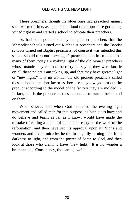These preachers, though the older ones had preached against such waste of time, as soon as the flood of compromise got going, joined right in and started a school to educate their preachers.

As had been pointed out by the pioneer preachers that the Methodist schools turned out Methodist preachers and the Baptist schools turned out Baptist preachers, of course it was intended this school should turn out "new light" preachers; and in so much that many of them today are making light of the old pioneer preachers whose mantle they claim to be carrying, saying they were fanatic on all these points I am taking up, and that they have greater light or "new light." It is no wonder the old pioneer preachers called these schools preacher factories, because they always turn out the product according to the model of the factory they are molded in. In fact, that is the purpose of these schools—to stamp their brand on them.

Who believes that when God launched the evening light movement and called men for that purpose, as both sides have and do believe and teach as far as I know, would have made the mistake of calling a bunch of fanatics to carry on the work of the reformation, and then have set his approval upon it? Signs and wonders and divers miracles he did in mightily turning men from darkness to light, and from the power of Satan to God, and then look at those who claim to have "new light." It is no wonder a brother said, "Consistency, thou art a jewel!"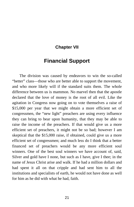### <span id="page-26-0"></span>**Chapter VII**

# **Financial Support**

The division was caused by endeavors to win the so-called "better" class—those who are better able to support the movement, and who more likely will if the standard suits them. The whole difference between us is mammon. No marvel then that the apostle declared that the love of money is the root of all evil. Like the agitation in Congress now going on to vote themselves a raise of \$15,000 per year that we might obtain a more efficient set of congressmen, the "new light" preachers are using every influence they can bring to bear upon humanity, that they may be able to raise the income of the preachers. If that would give us a more efficient set of preachers, it might not be so bad; however I am skeptical that the \$15,000 raise, if obtained, could give us a more efficient set of congressmen; and much less do I think that a better financed set of preachers would be any more efficient soul winners. One of the best soul winners we have account of, said, Silver and gold have I none, but such as I have, give I thee; in the name of Jesus Christ arise and walk. If he had a million dollars and had spent it all on that cripple and had sent him to all the institutions and specialists of earth, he would not have done as well for him as he did with what he had, faith.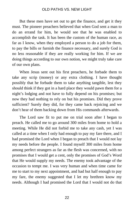But these men have set out to get the finance, and get it they must. The pioneer preachers believed that when God sent a man to do an errand for him, he would see that he was enabled to accomplish the task. It has been the custom of the human race, as far as I know, when they employed a person to do a job for them, to pay the bills or furnish the finance necessary, and surely God is no less reasonable if they are really working for him. If we are doing things according to our own notion, we might truly take care of our own plans.

When Jesus sent out his first preachers, he forbade them to take any scrip (money) or any extra clothing. I have thought possibly that he forbade them to take anything tangible, lest they should think if they got in a hard place they would pawn them for a night's lodging and not have to fully depend on his promises; but now they had nothing to rely on but his promises. Did they prove sufficient? Surely they did, for they came back rejoicing and we don't hear of them backing down from His commands afterwards.

The Lord saw fit to put me on trial soon after I began to preach. He called me to go around 300 miles from home to hold a meeting. While He did not forbid me to take any cash, yet I was called at a time when I only had enough to pay my fare there, and I had promised the Lord when I began to preach that I would not lay my needs before the people. I found myself 300 miles from home among perfect strangers as far as the flesh was concerned, with no promises that I would get a cent, only the promises of God's Word that He would supply my needs. The enemy took advantage of the occasion to tempt me. I was very human and when time came for me to start to my next appointment, and had but half enough to pay my fare, the enemy suggested that I let my brethren know my needs. Although I had promised the Lord that I would not do that

22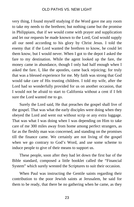very thing, I found myself studying if the Word gave me any room to take my needs to the brethren; but nothing came but the promise in Philippians, that if we would come with prayer and supplication and let our requests be made known to the Lord, God would supply all our need according to his glory by Christ Jesus. I told the enemy that if the Lord wanted the brethren to know, he could let them know, but I would never. When I got to the depot I asked the fare to my destination. While the agent looked up the fare, the money came in abundance, though I only had half enough when I asked the fare. I, like the apostles, came back rejoicing; for truly that was a blessed experience for me. My faith was strong that God would take care of His trusting children. I told my wife, after the Lord had so wonderfully provided for us on another occasion, that I would not be afraid to start to California without a cent if I felt sure the Lord wanted me to go.

Surely the Lord said, He that preaches the gospel shall live of the gospel. That was what the early disciples were doing when they obeyed the Lord and went out without scrip or any extra luggage. That was what I was doing when I was depending on Him to take care of me 300 miles away from home among perfect strangers, as far as the fleshly man was concerned, and standing on the promises till the finance came. We certainly are not living of the gospel when we go contrary to God's Word, and use some scheme to induce people to give of their means to support us.

These people, soon after they had let down the first bar of the Bible standard, composed a little booklet called the "Financial System" which surely wrested the Scriptures to suit their occasion.

When Paul was instructing the Gentile saints regarding their contribution to the poor Jewish saints at Jerusalem, he said for them to be ready, that there be no gathering when he came, as they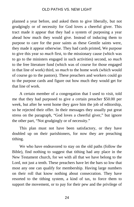planned a year before, and asked them to give liberally, but not grudgingly or of necessity for God loves a cheerful giver. This tract made it appear that they had a system of purposing a year ahead how much they would give. Instead of inducing them to purpose to care for the poor saints as these Gentile saints were, they made it appear otherwise. They had cards printed, We purpose to give this year so *much* first, to the missionary cause (which was to go to the ministers engaged in such activities) second, so *much* to the free literature fund (which was of course for those engaged in that line of work) third, so *much* to the home work (which would of course go to the pastors). These preachers and workers could go to the purpose cards and figure out how much they would get for that line of work.

A certain member of a congregation that I used to visit, told me that they had purposed to give a certain preacher \$50.00 per week, but after he went home they gave him the job of editorship, so he rejected their offer. In their messages they usually put great stress on the paragraph, "God loves a cheerful giver," but ignore the other part, "Not grudgingly or of necessity."

This plan must not have been satisfactory, or they have doubled up on their parishioners, for now they are preaching tithing.

We who have endeavored to stay on the old paths (follow the Bible), find nothing to suggest that tithing had any place in the New Testament church, for we with all that we have belong to the Lord, not just a tenth. These preachers have let the bars so low that most any one can qualify for membership. Having large numbers on their roll that know nothing about consecration. They have resorted to the tithing system, a kind of tax, to force them to support the movement, or to pay for their pew and the privilege of

24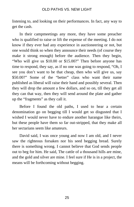listening to, and looking on their performances. In fact, any way to get the cash.

In their campmeetings any more, they have some preacher who is qualified to raise or lift the expense of the meeting. I do not know if they ever had any experience in auctioneering or not, but one would think so when they announce their needs (of course they make it strong enough) before the audience. Then they begin, "Who will give us \$10.00 or \$15.00?" Then before anyone has time to respond, they say, as if no one was going to respond, "Oh, I see you don't want to be that cheap, then who will give us, say \$50.00?" Some of the "better" class who want their name published as liberal will raise their hand and possibly several. Then they will drop the amount a few dollars, and so on, till they get all they can that way, then they will send around the plate and gather up the "fragments" as they call it.

Before I found the old paths, I used to hear a certain denomination go on begging till I would get so disgusted that I wished I would never have to endure another harangue like theirs, but these people have them so far out-stripped, that they make all her sectarians seem like amateurs.

David said, I was once young and now I am old, and I never saw the righteous forsaken nor his seed begging bread. Surely there is something wrong. I cannot believe that God sends people out to beg for him. He said, The cattle of a thousand hills are mine, and the gold and silver are mine. I feel sure if He is in a project, the means will be forthcoming without begging.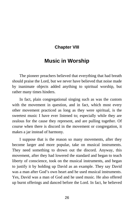# <span id="page-31-0"></span>**Chapter VIII**

# **Music in Worship**

The pioneer preachers believed that everything that had breath should praise the Lord, but we never have believed that noise made by inanimate objects added anything to spiritual worship, but rather many times hinders.

In fact, plain congregational singing such as was the custom with the movement in question, and in fact, which most every other movement practiced as long as they were spiritual, is the sweetest music I have ever listened to; especially while they are zealous for the cause they represent, and are pulling together. Of course when there is discord in the movement or congregation, it makes a jar instead of harmony.

I suppose that is the reason so many movements, after they become larger and more popular, take on musical instruments. They need something to drown out the discord. Anyway, this movement, after they had lowered the standard and began to teach liberty of conscience, took on the musical instruments, and began to justify it by holding up David as an example. They say David was a man after God's own heart and he used musical instruments. Yes, David was a man of God and he used music. He also offered up burnt offerings and danced before the Lord. In fact, he believed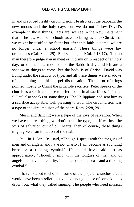in and practiced fleshly circumcision. He also kept the Sabbath, the new moons and the holy days, but we do not follow David's example in those things. Facts are, we see in the New Testament that "The law was our schoolmaster to bring us unto Christ, that we might be justified by faith; but after that faith is come, we are no longer under a school master." These things were law ordinances (Gal. 3:24, 25). Paul said again (Col. 2:16,17), "Let no man therefore judge you in meat or in drink or in respect of an holy day, or of the new moon or of the Sabbath days: which are a shadow of things to come: but the body is of Christ." David was living under the shadow or type, and all these things were shadows of good things in this gospel dispensation. The burnt offerings pointed mostly to Christ the principle sacrifice. Peter speaks of the church as a spiritual house to offer up spiritual sacrifices. 1 Pet. 2: 5. Paul also speaks of some things. The Philippians had sent him as a sacrifice acceptable, well pleasing to God. The circumcision was a type of the circumcision of the heart. Rom. 2:28, 29.

Music and dancing were a type of the joys of salvation. When we have the real thing, we don't need the type, but if we lose the joys of salvation out of our hearts, then of course, these things might give us an imitation of the real.

Paul in 1 Cor. 13:1 said, "Though I speak with the tongues of men and of angels, and have not charity, I am become as sounding brass or a tinkling cymbal." He could have said just as appropriately, "Though I sing with the tongues of men and of angels and have not charity, it is like sounding brass and a tinkling cymbal."

I have listened to choirs in some of the popular churches that it would have been a relief to have had enough noise of some kind to drown out what they called singing. The people who need musical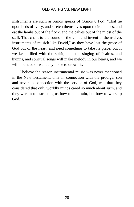instruments are such as Amos speaks of (Amos 6:1-5), "That lie upon beds of ivory, and stretch themselves upon their couches, and eat the lambs out of the flock, and the calves out of the midst of the stall; That chant to the sound of the viol, and invent to themselves instruments of musick like David," as they have lost the grace of God out of the heart, and need something to take its place; but if we keep filled with the spirit, then the singing of Psalms, and hymns, and spiritual songs will make melody in our hearts, and we will not need or want any noise to drown it.

I believe the reason instrumental music was never mentioned in the New Testament, only in connection with the prodigal son and never in connection with the service of God, was that they considered that only worldly minds cared so much about such, and they were not instructing us how to entertain, but how to worship God.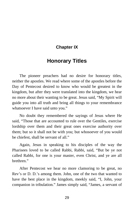# <span id="page-34-0"></span>**Chapter IX**

# **Honorary Titles**

The pioneer preachers had no desire for honorary titles, neither the apostles. We read where some of the apostles before the Day of Pentecost desired to know who would be greatest in the kingdom, but after they were translated into the kingdom, we hear no more about their wanting to be great. Jesus said, "My Spirit will guide you into all truth and bring all things to your remembrance whatsoever I have said unto you."

No doubt they remembered the sayings of Jesus where He said, "Those that are accounted to rule over the Gentiles, exercise lordship over them and their great ones exercise authority over them; but so it shall not be with you; but whosoever of you would be chiefest, shall be servant of all."

Again, Jesus in speaking to his disciples of the way the Pharisees loved to be called Rabbi, Rabbi, said, "But be ye not called Rabbi, for one is your master, even Christ, and ye are all brethren."

After Pentecost we hear no more clamoring to be great, no Rev's or D. D.'s among them. John, one of the two that wanted to have the best place in the kingdom, meekly said, "I, John, your companion in tribulation." James simply said, "James, a servant of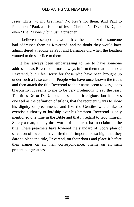Jesus Christ, to my brethren." No Rev's for them. And Paul to Philemon, "Paul, a prisoner of Jesus Christ." No Dr. or D. D., not even 'The Prisoner,' but just, a prisoner.

I believe these apostles would have been shocked if someone had addressed them as Reverend, and no doubt they would have administered a rebuke as Paul and Barnabas did when the heathen wanted to do sacrifice to them.

It has always been embarrassing to me to have someone address me as Reverend. I most always inform them that I am not a Reverend, but I feel sorry for those who have been brought up under such a false custom. People who have once known the truth, and then attach the title Reverend to their name seem to verge onto blasphemy. It seems to me to be very irreligious to say the least. The titles Dr. or D. D. does not seem so irreligious, but it makes one feel as the definition of title is, that the recipient wants to show his dignity or preeminence and like the Gentiles would like to exercise authority or lordship over his brethren. Reverend is only mentioned one time in the Bible and that in regard to God himself. Surely a man, a puny dust worm of the earth, has no claim on the title. These preachers have lowered the standard of God's plan of salvation of love and have lifted their importance so high that they dare to place the title, Reverend, on their doors and place it before their names on all their correspondence. Shame on all such pretentious greatness!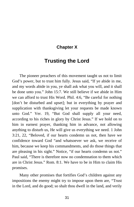# <span id="page-36-0"></span>**Chapter X**

# **Trusting the Lord**

The pioneer preachers of this movement taught us not to limit God's power, but to trust him fully. Jesus said, "If ye abide in me, and my words abide in you, ye shall ask what you will, and it shall be done unto you." John 15:7. We still believe if we abide in Him we can afford to trust His Word. Phil. 4:6, "Be careful for nothing [don't be disturbed and upset]; but in everything by prayer and supplication with thanksgiving let your requests be made known unto God." Ver. 19, "But God shall supply all your need, according to his riches in glory by Christ Jesus." If we hold on to him in earnest prayer, thanking him in advance, not allowing anything to disturb us, He will give us everything we need. 1 John 3:21, 22, "Beloved, if our hearts condemn us not, then have we confidence toward God "and whatsoever we ask, we receive of him, because we keep his commandments, and do those things that are pleasing in his sight." Notice, "if our hearts condemn us not." Paul said, "There is therefore now no condemnation to them which are in Christ Jesus." Rom. 8:1. We have to be in Him to claim His promises.

Many other promises that fortifies God's children against any impositions the enemy might try to impose upon them are, "Trust in the Lord, and do good; so shalt thou dwell in the land, and verily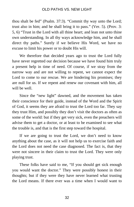thou shalt be fed" (Psalm. 37:3). "Commit thy way unto the Lord; trust also in him; and he shall bring it to pass." (Ver. 5). (Prov. 3: 5, 6) "Trust in the Lord with all thine heart; and lean not unto thine own understanding. In all thy ways acknowledge him, and he shall direct thy paths." Surely if we believe His Word, we have no excuse to limit his power or to doubt His will.

We therefore that decided years ago to trust the Lord fully have never regretted our decision because we have found him truly a present help in time of need. Of course, if we stray from the narrow way and are not willing to repent, we cannot expect the Lord to come to our rescue. We are hindering his promises; they are null for us. If we repent and renew our covenant with him, all will be well.

Since the "new light" dawned, and the movement has taken their conscience for their guide, instead of the Word and the Spirit of God, it seems they are afraid to trust the Lord too far. They say they trust Him, and possibly they don't visit the doctors as often as some of the world: but if they get very sick, even the preachers will advise them to get a doctor, or at least to be examined to see what the trouble is, and that is the first step toward the hospital.

If we are going to trust the Lord, we don't need to know anything about the case, as it will not help us to exercise faith and the Lord does not need the case diagnosed. The fact is, that they were not sincere in their claim to trust the Lord. They were only playing trust.

These folks have said to me, "If you should get sick enough you would want the doctor." They were possibly honest in their thoughts; but if they were they have never learned what trusting the Lord means. If there ever was a time when I would want to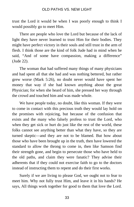trust the Lord it would be when I was poorly enough to think I would possibly go to meet Him.

There are people who love the Lord but because of the lack of light they have never learned to trust Him for their bodies. They might have perfect victory in their souls and still trust in the arm of flesh. I think those are the kind of folk Jude had in mind when he said, "And of some have compassion, making a difference" (Jude 22).

The woman that had suffered many things of many physicians and had spent all that she had and was nothing bettered, but rather grew worse (Mark 5:26), no doubt never would have spent her money that way if she had known anything about the great Physician; for when she heard of him, she pressed her way through the crowd and touched him and was made whole.

We have people today, no doubt, like this woman. If they were to come in contact with this precious truth they would lay hold on the promises with rejoicing, but because of the confusion that exists and the many who falsely profess to trust the Lord, who when they get sick or hurt do just like the rest of the world, these folks cannot see anything better than what they have, so they are turned skeptic—and they are not to be blamed. But how about those who have been brought up in the truth, then have lowered the standard to allow the throng to come in, then like Samson find their strength gone, and begin to persecute those who have held to the old paths, and claim they were fanatic? They advise their adherents that if they could not exercise faith to go to the doctors instead of instructing them to repent and do their first works.

Surely if we are living to please God, we ought not to fear to meet him. Why not fully trust Him, and leave it in his hands? He says, All things work together for good to them that love the Lord.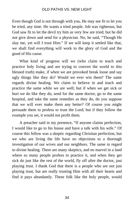Even though God is not through with you, He may see fit to let you be tried, any time. He wants a tried people. Job was righteous, but God saw fit to let the devil try him as very few are tried; but he did not give down and send for a physician. No, he said, "Though He slay me, yet will I trust Him." If we will keep it settled like that, we shall find everything will work to the glory of God and the good of His cause.

What kind of progress will we (who claim to teach and practice holy living and are trying to convert the world to this blessed truth) make, if when we are provoked break loose and say ugly things like they do? Would we ever win them? The same regards divine healing. We claim to believe in and teach and practice the same while we are well; but if when we get sick or hurt we do like they do, send for the same doctor, go to the same hospital, and take the same remedies as they do, do you suppose that we will ever make them any better? Of course you might persuade them to profess to trust the Lord; but if they follow the example you set, it would not profit them.

A preacher said in my presence, "If anyone claims perfection, I would like to go to his house and have a talk with his wife." Of course this fellow was a skeptic regarding Christian perfection, but we who are living the life have no objections to a thorough investigation of our wives and our neighbors. The same in regard to divine healing. There are many skeptics, and no marvel in a land where so many people profess to practice it, and when they get sick do just like the rest of the world, fly off after the doctor, just playing trust. I thank God that there is a people who are not just playing trust, but are really trusting Him with all their hearts and find it pays abundantly. These folk like the holy people, would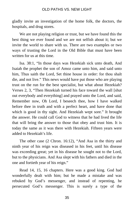gladly invite an investigation of the home folk, the doctors, the hospitals, and drug stores.

We are not playing religion or trust, but we have found this the best thing we ever found and we are not selfish about it; but we invite the world to share with us. There are two examples or two ways of trusting the Lord in the Old Bible that must have been written for us at this time.

Isa. 38:1, "In those days was Hezekiah sick unto death, And Isaiah the prophet the son of Amoz came unto him, and said unto him, Thus saith the Lord, Set thine house in order: for thou shalt die, and not live." This news would have put those who are playing trust on the run for the best specialist, but what about Hezekiah? Verses 2, 3, "Then Hezekiah turned his face toward the wall [shut out everybody and everything] and prayed unto the Lord, and said, Remember now, Oh Lord, I beseech thee, how I have walked before thee in truth and with a perfect heart, and have done that which is good in thy sight. And Hezekiah wept sore." It brought the answer. He could call God to witness that he had lived the life that will bring the answer to those that obey and trust him. It is today the same as it was there with Hezekiah. Fifteen years were added to Hezekiah's life.

The other case (2 Chron. 16:12), "And Asa in the thirty and ninth year of his reign was diseased in his feet, until his disease was exceeding great; yet in his disease he sought not to the Lord, but to the physicians. And Asa slept with his fathers and died in the one and fortieth year of his reign."

Read 14, 15, 16 chapters. Here was a good king. God had wonderfully dealt with him; but he made a mistake and was rebuked by God's messenger, and instead of repenting, he persecuted God's messenger. This is surely a type of the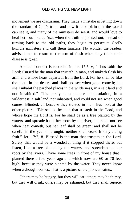movement we are discussing. They made a mistake in letting down the standard of God's truth, and now it is so plain that the world can see it, and many of the ministers do see it, and would love to heal her, but like as Asa, when the truth is pointed out, instead of turning back to the old paths, they begin to persecute God's humble ministers and call them fanatics. No wonder the leaders advise them to resort to the arm of flesh when they think their disease is great.

Another contrast is recorded in Jer. 17:5, 6, "Thus saith the Lord; Cursed be the man that trusteth in man, and maketh flesh his arm, and whose heart departeth from the Lord. For he shall be like the heath in the desert, and shall not see when good cometh; but shall inhabit the parched places in the wilderness, in a salt land and not inhabited." This surely is a picture of desolation, in a wilderness, a salt land, not inhabited, and could not see when good comes. Blinded, all because they trusted in man. But look at the other picture. "Blessed is the man that trusteth in the Lord, and whose hope the Lord is. For he shall be as a tree planted by the waters, and spreadeth out her roots by the river, and shall not see when heat cometh, but her leaf shall be green; and shall not be careful in the year of drought, neither shall cease from yielding fruit." Jer. 17:7, 8. Blessed is the man that trusteth in the Lord. Surely that would be a wonderful thing if it stopped there, but listen, Like a tree planted by the waters, and spreadeth out her roots by the rivers. I have some trees in front of my house that I planted there a few years ago and which now are 60 or 70 feet high, because they were planted by the water. They never know when a drought comes. That is a picture of the pioneer saints.

Others may be hungry, but they will eat; others may be thirsty, but they will drink; others may be ashamed, but they shall rejoice.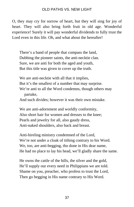O, they may cry for sorrow of heart, but they will sing for joy of heart. They will also bring forth fruit in old age. Wonderful experience! Surely it will pay wonderful dividends to fully trust the Lord even in this life. Oh, and what about the hereafter!

There's a band of people that compass the land, Dubbing the pioneer saints, the anti-necktie clan. Sure, we are anti for both the aged and youth, But this title was given to cover up the truth.

We are anti-necktie with all that it implies, But it's the smallest of a number that may surprise. We're anti to all the Word condemns, though others may partake,

And such divides; however it was their own mistake.

We are anti-adornment and worldly conformity, Also short hair for women and dresses to the knee; Pearls and jewelry for all, also gaudy dress, Anti-naked shoulders, also back and breast.

Anti-hireling ministry condemned of the Lord, We're not under a cloak of tithing contrary to his Word. We, too, are anti-begging, tho done in His dear name, He had no place to lay his head, we'll gladly share the same.

He owns the cattle of the hills, the silver and the gold, He'll supply our every need in Philippians we are told. Shame on you, preacher, who profess to trust the Lord, Then go begging in His name contrary to His Word.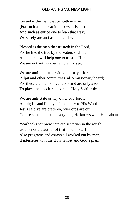Cursed is the man that trusteth in man, (For such as the heat in the desert is he;) And such as entice one to lean that way; We surely are anti as anti can be.

Blessed is the man that trusteth in the Lord, For he like the tree by the waters shall be; And all that will help one to trust in Him, We are not anti as you can plainly see.

We are anti-man-rule with all it may afford, Pulpit and other committees, also missionary board; For these are man's inventions and are only a tool To place the check-reins on the Holy Spirit rule.

We are anti-state or any other overlords, All big I's and little you's contrary to His Word. Jesus said ye are brethren, overlords are out, God sets the members every one, He knows what He's about.

Yearbooks for preachers are sectarian in the rough, God is not the author of that kind of stuff; Also programs and essays all worked out by man, It interferes with the Holy Ghost and God's plan.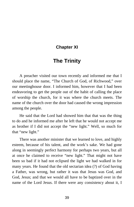# <span id="page-44-0"></span>**Chapter XI**

# **The Trinity**

A preacher visited our town recently and informed me that I should place the name, "The Church of God, of Richwood," over our meetinghouse door. I informed him, however that I had been endeavoring to get the people out of the habit of calling the place of worship the church, for it was where the church meets. The name of the church over the door had caused the wrong impression among the people.

He said that the Lord had showed him that that was the thing to do and he informed me after he left that he would not accept me as brother if I did not accept the "new light." Well, so much for that "new light."

There was another minister that we learned to love, and highly esteem, because of his talent, and the work's sake. We had gone along in seemingly perfect harmony for perhaps two years, but all at once he claimed to receive "new light." That might not have been so bad if it had not eclipsed the light we had walked in for many years. He found that the old sectarian idea (?) of God having a Father, was wrong, but rather it was that Jesus was God, and God, Jesus; and that we would all have to be baptized over in the name of the Lord Jesus. If there were any consistency about it, I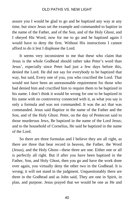assure you I would be glad to go and be baptized any way at any time, but since Jesus set the example and commanded to baptize in the name of the Father, and of the Son, and of the Holy Ghost, and I obeyed His Word, now for me to go and be baptized again I would have to deny the first. Without His instructions I cannot afford to do it lest I displease the Lord.

It seems very inconsistent to me that these who claim that Jesus is the whole Godhead should rather take Peter's word than Jesus', especially since Peter had just a few days before this, denied the Lord. He did not say for everybody to be baptized that way, but said, Every one of you, you who crucified the Lord. That would not have been an unreasonable requirement for those who had denied him and crucified him to require them to be baptized in his name. I don't think it would be wrong for one to be baptized in his name with no controversy connected with it, as what you say is only a formula and was not commanded. It was the act that was commanded. Jesus said Baptize in the name of the Father and the Son, and of the Holy Ghost. Peter, on the day of Pentecost said to those murderous Jews, Be baptized in the name of the Lord Jesus; and to the household of Cornelius, He said be baptized in the name of the Lord.

So there are three formulas and I believe they are all right, as there are three that bear record in heaven, the Father, the Word (Jesus), and the Holy Ghost—these three are one. Either one or all is perfectly all right. But if after you have been baptized in the Father, Son, and Holy Ghost, then you go and have the work done over again, you virtually deny the other two in the Godhead. It is wrong; it will not stand in the judgment. Unquestionably there are three in the Godhead and as John said, They are one in Spirit, in plan, and purpose. Jesus prayed that we would be one as He and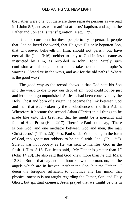the Father were one, but there are three separate persons as we read in 1 John 5:7, and as was manifest at Jesus' baptism, and again, the Father and Son at His transfiguration, Matt. 17:5.

It is not consistent for these people to try to persuade people that God so loved the world, that He gave His only begotten Son, that whosoever believeth in Him, should not perish, but have eternal life (John 3:16), neither to pray to God in Jesus' name as instructed by Him, as recorded in John 16:23. Surely such confusion as this ought to make us take heed to the prophet's warning, "Stand ye in the ways, and ask for the old paths." Where is the good way?

The good way as the record shows is that God sent his Son into the world to die to pay our debt of sin. God could not be just and let our sin go unpunished. As Jesus had been conceived by the Holy Ghost and born of a virgin, he became the link between God and man that was broken by the disobedience of the first Adam. Wherefore it became the second Adam (Christ) in all things to be made like unto His brethren, that he might be a merciful and faithful High Priest (Heb. 2:17). Therefore Paul could say, "There is one God, and one mediator between God and men, the man Christ Jesus" (1 Tim. 2:5). Yes, Paul said, "Who, being in the form of God, thought it not robbery to be equal with God" (Phil. 2:6). Sure it was not robbery as He was sent to manifest God in the flesh. 1 Tim. 3:16. But Jesus said, "My Father is greater than I." (John 14:28). He also said that God knew more than he did. Mark 13:32. "But of that day and that hour knoweth no man, no, not the angels which are in heaven, neither the Son, but the Father." I deem the foregone sufficient to convince any fair mind, that physical oneness is not taught regarding the Father, Son, and Holy Ghost, but spiritual oneness. Jesus prayed that we might be one in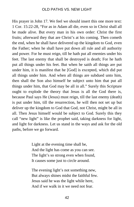His prayer in John 17. We feel we should insert this one more text: 1 Cor. 15:22-28, "For as in Adam all die, even so in Christ shall all be made alive. But every man in his own order: Christ the first fruits; afterward they that are Christ's at his coming. Then cometh the end, when he shall have delivered up the kingdom to God, even the Father; when he shall have put down all rule and all authority and power. For he must reign, till he hath put all enemies under his feet. The last enemy that shall be destroyed is death; For he hath put all things under his feet. But when he saith all things are put under him, it is manifest that he [God] is excepted, which did put all things under him. And when all things are subdued unto him, then shall the Son also himself be subject unto him that put all things under him, that God may be all in all." Surely this Scripture ought to explode the theory that Jesus is all the God there is, because Paul says He (Jesus) must reign, till the last enemy (death) is put under him, till the resurrection, he will then not set up but deliver up the kingdom to God that God, not Christ, might be all in all. Then Jesus himself would be subject to God. Surely this they call "new light" is like the prophet said, taking darkness for light, and light for darkness. Let us stand in the ways and ask for the old paths, before we go forward.

> Light at the evening time shall be, And the light has come as you can see. The light's so strong even when found, It causes some just to circle around.

The evening light's not something new, But always shines midst the faithful few. Jesus said he was the light while here, And if we walk in it we need not fear.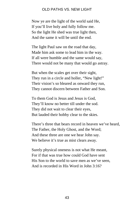Now ye are the light of the world said He, If you'll live holy and fully follow me. So the light He shed was true light then, And the same it will be until the end.

The light Paul saw on the road that day, Made him ask some to lead him in the way. If all were humble and the same would say, There would not be many that would go astray.

But when the scales get over their sight, They run in a circle and holler, "New light!" Their vision's so bleared as onward they run, They cannot discern between Father and Son.

To them God is Jesus and Jesus is God, They'll know no better till under the sod. They did not wait to clear their eyes, But lauded their hobby clear to the skies.

There's three that bears record in heaven we've heard, The Father, the Holy Ghost, and the Word; And these three are one we hear John say. We believe it's true as mist clears away.

Surely physical oneness is not what He meant, For if that was true how could God have sent His Son to the world to save men as we've seen, And is recorded in His Word in John 3:16?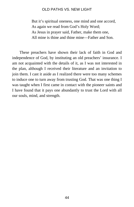But it's spiritual oneness, one mind and one accord, As again we read from God's Holy Word; As Jesus in prayer said, Father, make them one, All mine is thine and thine mine—Father and Son.

These preachers have shown their lack of faith in God and independence of God, by instituting an old preachers' insurance. I am not acquainted with the details of it, as I was not interested in the plan, although I received their literature and an invitation to join them. I cast it aside as I realized there were too many schemes to induce one to turn away from trusting God. That was one thing I was taught when I first came in contact with the pioneer saints and I have found that it pays one abundantly to trust the Lord with all our souls, mind, and strength.